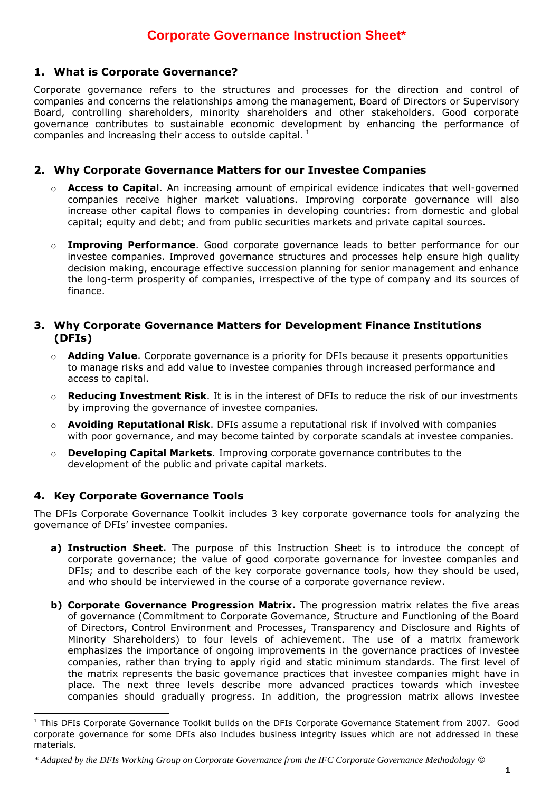## **1. What is Corporate Governance?**

Corporate governance refers to the structures and processes for the direction and control of companies and concerns the relationships among the management, Board of Directors or Supervisory Board, controlling shareholders, minority shareholders and other stakeholders. Good corporate governance contributes to sustainable economic development by enhancing the performance of companies and increasing their access to outside capital.  $<sup>1</sup>$ </sup>

## **2. Why Corporate Governance Matters for our Investee Companies**

- o **Access to Capital**. An increasing amount of empirical evidence indicates that well-governed companies receive higher market valuations. Improving corporate governance will also increase other capital flows to companies in developing countries: from domestic and global capital; equity and debt; and from public securities markets and private capital sources.
- **Improving Performance**. Good corporate governance leads to better performance for our investee companies. Improved governance structures and processes help ensure high quality decision making, encourage effective succession planning for senior management and enhance the long-term prosperity of companies, irrespective of the type of company and its sources of finance.

#### **3. Why Corporate Governance Matters for Development Finance Institutions (DFIs)**

- o **Adding Value**. Corporate governance is a priority for DFIs because it presents opportunities to manage risks and add value to investee companies through increased performance and access to capital.
- o **Reducing Investment Risk**. It is in the interest of DFIs to reduce the risk of our investments by improving the governance of investee companies.
- o **Avoiding Reputational Risk**. DFIs assume a reputational risk if involved with companies with poor governance, and may become tainted by corporate scandals at investee companies.
- **Developing Capital Markets**. Improving corporate governance contributes to the development of the public and private capital markets.

### **4. Key Corporate Governance Tools**

1

The DFIs Corporate Governance Toolkit includes 3 key corporate governance tools for analyzing the governance of DFIs' investee companies.

- **a) Instruction Sheet.** The purpose of this Instruction Sheet is to introduce the concept of corporate governance; the value of good corporate governance for investee companies and DFIs; and to describe each of the key corporate governance tools, how they should be used, and who should be interviewed in the course of a corporate governance review.
- **b) Corporate Governance Progression Matrix.** The progression matrix relates the five areas of governance (Commitment to Corporate Governance, Structure and Functioning of the Board of Directors, Control Environment and Processes, Transparency and Disclosure and Rights of Minority Shareholders) to four levels of achievement. The use of a matrix framework emphasizes the importance of ongoing improvements in the governance practices of investee companies, rather than trying to apply rigid and static minimum standards. The first level of the matrix represents the basic governance practices that investee companies might have in place. The next three levels describe more advanced practices towards which investee companies should gradually progress. In addition, the progression matrix allows investee

 $1$  This DFIs Corporate Governance Toolkit builds on the DFIs Corporate Governance Statement from 2007. Good corporate governance for some DFIs also includes business integrity issues which are not addressed in these materials.

*<sup>\*</sup> Adapted by the DFIs Working Group on Corporate Governance from the IFC Corporate Governance Methodology ©*